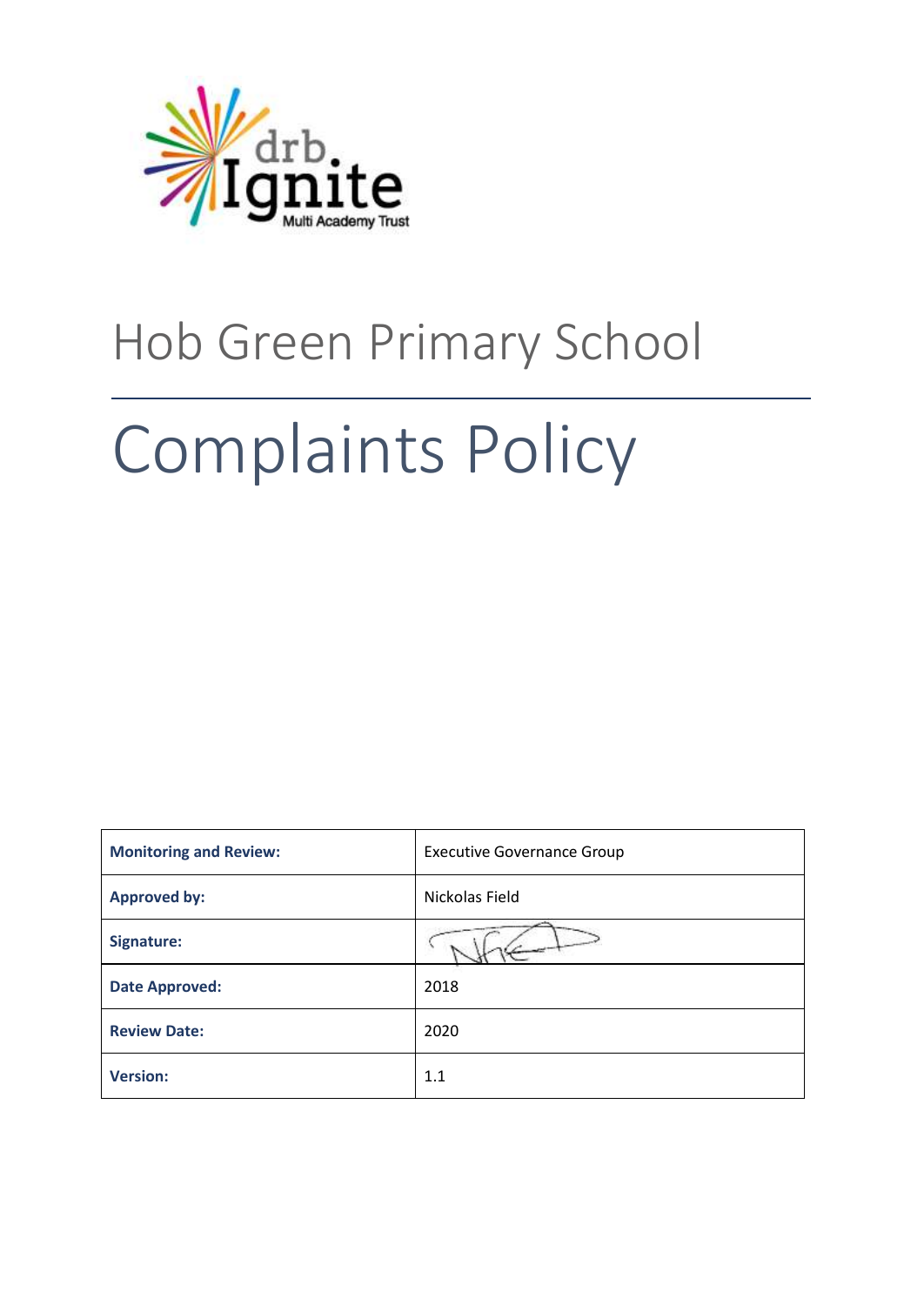

# Hob Green Primary School

# Complaints Policy

| <b>Monitoring and Review:</b> | <b>Executive Governance Group</b> |
|-------------------------------|-----------------------------------|
| <b>Approved by:</b>           | Nickolas Field                    |
| Signature:                    |                                   |
| <b>Date Approved:</b>         | 2018                              |
| <b>Review Date:</b>           | 2020                              |
| <b>Version:</b>               | 1.1                               |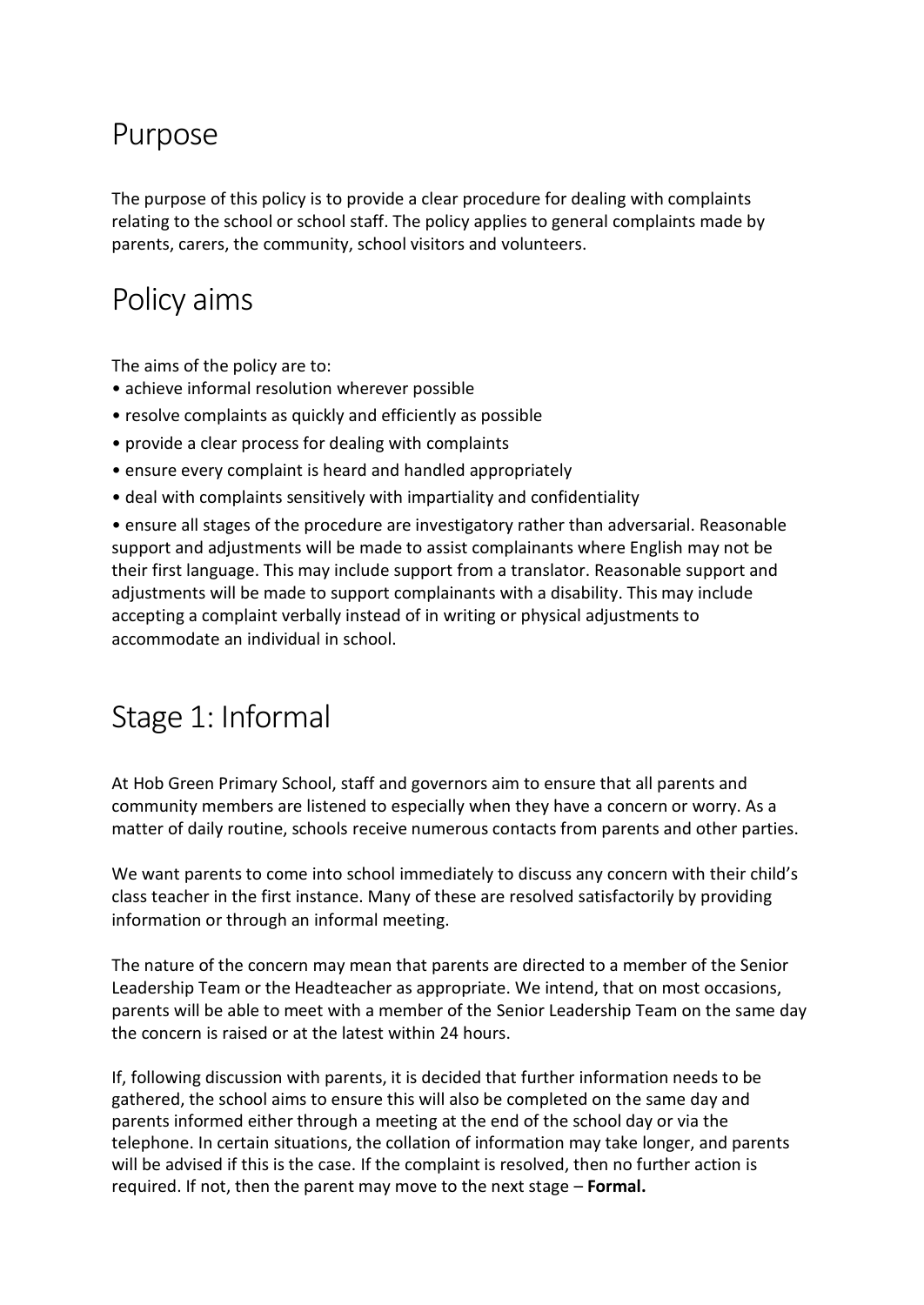#### Purpose

The purpose of this policy is to provide a clear procedure for dealing with complaints relating to the school or school staff. The policy applies to general complaints made by parents, carers, the community, school visitors and volunteers.

## Policy aims

The aims of the policy are to:

- achieve informal resolution wherever possible
- resolve complaints as quickly and efficiently as possible
- provide a clear process for dealing with complaints
- ensure every complaint is heard and handled appropriately
- deal with complaints sensitively with impartiality and confidentiality

• ensure all stages of the procedure are investigatory rather than adversarial. Reasonable support and adjustments will be made to assist complainants where English may not be their first language. This may include support from a translator. Reasonable support and adjustments will be made to support complainants with a disability. This may include accepting a complaint verbally instead of in writing or physical adjustments to accommodate an individual in school.

#### Stage 1: Informal

At Hob Green Primary School, staff and governors aim to ensure that all parents and community members are listened to especially when they have a concern or worry. As a matter of daily routine, schools receive numerous contacts from parents and other parties.

We want parents to come into school immediately to discuss any concern with their child's class teacher in the first instance. Many of these are resolved satisfactorily by providing information or through an informal meeting.

The nature of the concern may mean that parents are directed to a member of the Senior Leadership Team or the Headteacher as appropriate. We intend, that on most occasions, parents will be able to meet with a member of the Senior Leadership Team on the same day the concern is raised or at the latest within 24 hours.

If, following discussion with parents, it is decided that further information needs to be gathered, the school aims to ensure this will also be completed on the same day and parents informed either through a meeting at the end of the school day or via the telephone. In certain situations, the collation of information may take longer, and parents will be advised if this is the case. If the complaint is resolved, then no further action is required. If not, then the parent may move to the next stage – **Formal.**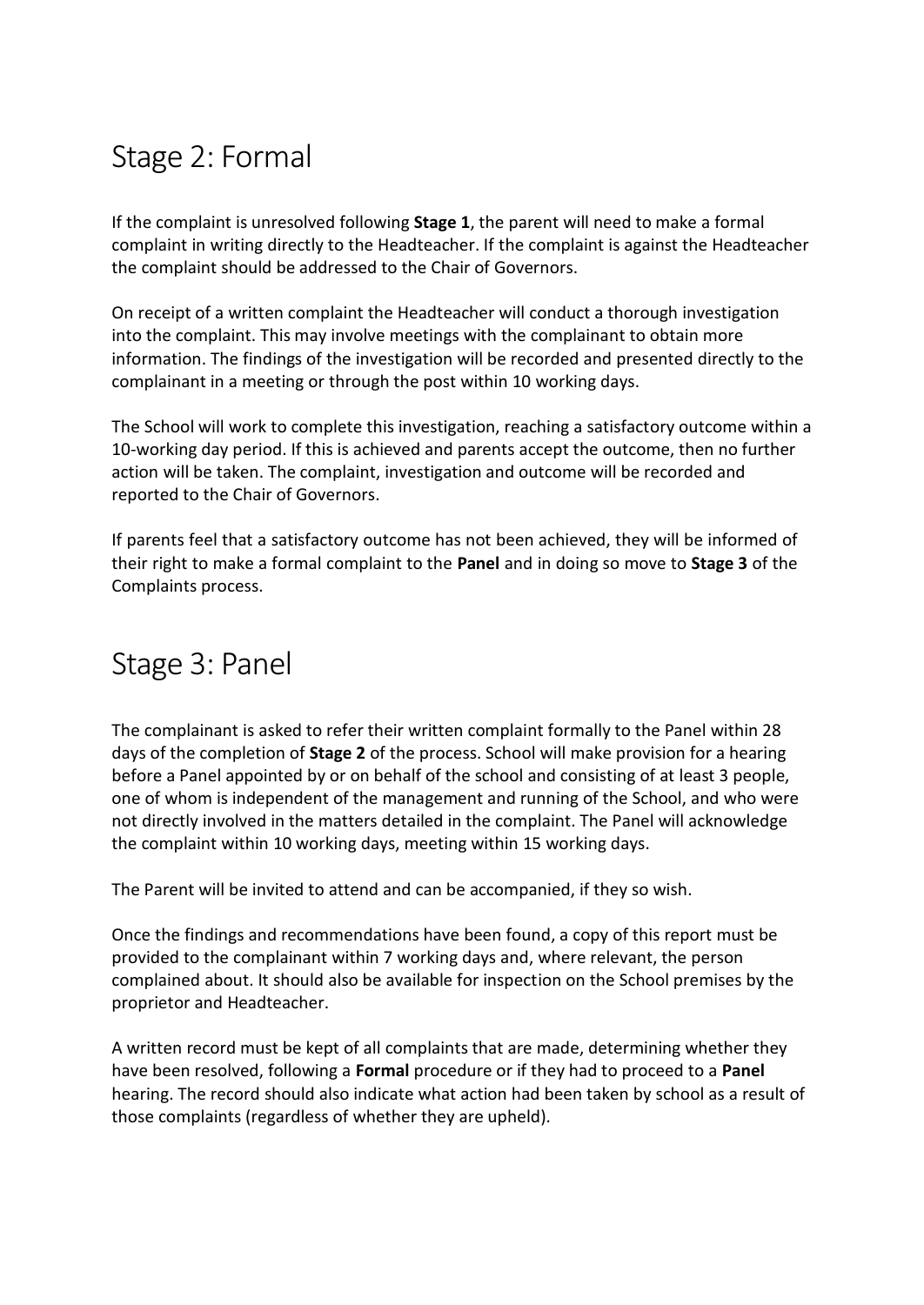#### Stage 2: Formal

If the complaint is unresolved following **Stage 1**, the parent will need to make a formal complaint in writing directly to the Headteacher. If the complaint is against the Headteacher the complaint should be addressed to the Chair of Governors.

On receipt of a written complaint the Headteacher will conduct a thorough investigation into the complaint. This may involve meetings with the complainant to obtain more information. The findings of the investigation will be recorded and presented directly to the complainant in a meeting or through the post within 10 working days.

The School will work to complete this investigation, reaching a satisfactory outcome within a 10-working day period. If this is achieved and parents accept the outcome, then no further action will be taken. The complaint, investigation and outcome will be recorded and reported to the Chair of Governors.

If parents feel that a satisfactory outcome has not been achieved, they will be informed of their right to make a formal complaint to the **Panel** and in doing so move to **Stage 3** of the Complaints process.

#### Stage 3: Panel

The complainant is asked to refer their written complaint formally to the Panel within 28 days of the completion of **Stage 2** of the process. School will make provision for a hearing before a Panel appointed by or on behalf of the school and consisting of at least 3 people, one of whom is independent of the management and running of the School, and who were not directly involved in the matters detailed in the complaint. The Panel will acknowledge the complaint within 10 working days, meeting within 15 working days.

The Parent will be invited to attend and can be accompanied, if they so wish.

Once the findings and recommendations have been found, a copy of this report must be provided to the complainant within 7 working days and, where relevant, the person complained about. It should also be available for inspection on the School premises by the proprietor and Headteacher.

A written record must be kept of all complaints that are made, determining whether they have been resolved, following a **Formal** procedure or if they had to proceed to a **Panel**  hearing. The record should also indicate what action had been taken by school as a result of those complaints (regardless of whether they are upheld).